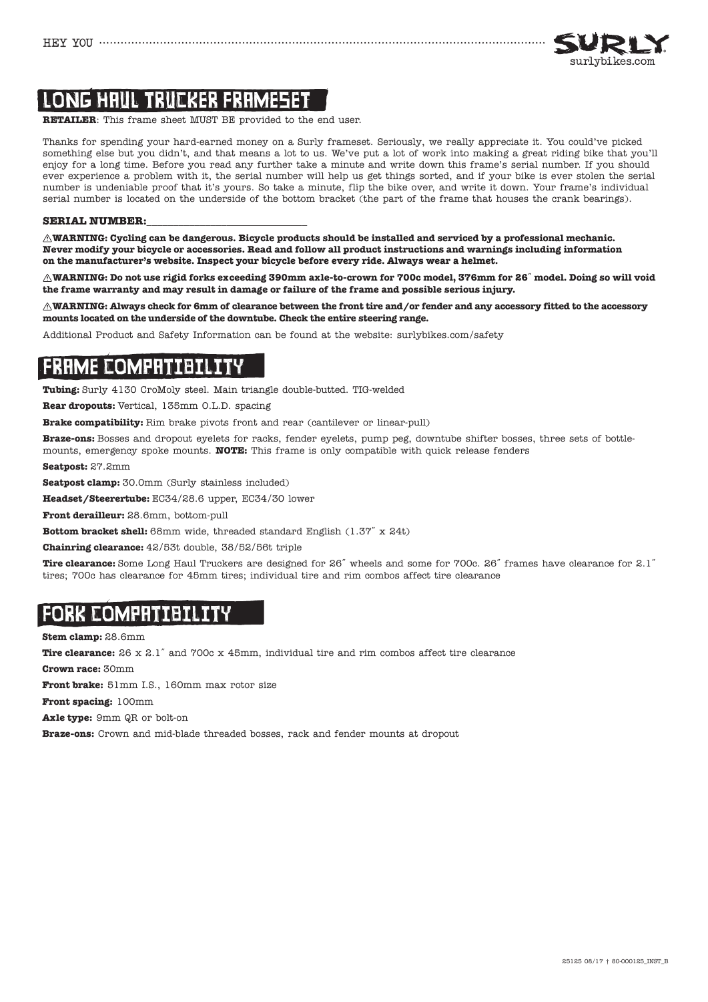

# LONG HAUL TRUCKER FRAMESET

**RETAILER**: This frame sheet MUST BE provided to the end user.

Thanks for spending your hard-earned money on a Surly frameset. Seriously, we really appreciate it. You could've picked something else but you didn't, and that means a lot to us. We've put a lot of work into making a great riding bike that you'll enjoy for a long time. Before you read any further take a minute and write down this frame's serial number. If you should ever experience a problem with it, the serial number will help us get things sorted, and if your bike is ever stolen the serial number is undeniable proof that it's yours. So take a minute, flip the bike over, and write it down. Your frame's individual serial number is located on the underside of the bottom bracket (the part of the frame that houses the crank bearings).

### **SERIAL NUMBER:**

**WARNING: Cycling can be dangerous. Bicycle products should be installed and serviced by a professional mechanic. Never modify your bicycle or accessories. Read and follow all product instructions and warnings including information on the manufacturer's website. Inspect your bicycle before every ride. Always wear a helmet.**

**WARNING: Do not use rigid forks exceeding 390mm axle-to-crown for 700c model, 376mm for 26**˝ **model. Doing so will void the frame warranty and may result in damage or failure of the frame and possible serious injury.**

**WARNING: Always check for 6mm of clearance between the front tire and/or fender and any accessory fitted to the accessory mounts located on the underside of the downtube. Check the entire steering range.**

Additional Product and Safety Information can be found at the website: surlybikes.com/safety

# FRAME COMPATIBILITY

**Tubing:** Surly 4130 CroMoly steel. Main triangle double-butted. TIG-welded

**Rear dropouts:** Vertical, 135mm O.L.D. spacing

**Brake compatibility:** Rim brake pivots front and rear (cantilever or linear-pull)

**Braze-ons:** Bosses and dropout eyelets for racks, fender eyelets, pump peg, downtube shifter bosses, three sets of bottlemounts, emergency spoke mounts. **NOTE:** This frame is only compatible with quick release fenders

**Seatpost:** 27.2mm

**Seatpost clamp:** 30.0mm (Surly stainless included)

**Headset/Steerertube:** EC34/28.6 upper, EC34/30 lower

**Front derailleur:** 28.6mm, bottom-pull

**Bottom bracket shell:** 68mm wide, threaded standard English (1.37˝ x 24t)

**Chainring clearance:** 42/53t double, 38/52/56t triple

**Tire clearance:** Some Long Haul Truckers are designed for 26˝ wheels and some for 700c. 26˝ frames have clearance for 2.1˝ tires; 700c has clearance for 45mm tires; individual tire and rim combos affect tire clearance

# FORK COMPATIBILITY

**Stem clamp:** 28.6mm

**Tire clearance:** 26 x 2.1<sup>"</sup> and 700c x 45mm, individual tire and rim combos affect tire clearance

**Crown race:** 30mm

**Front brake:** 51mm I.S., 160mm max rotor size

**Front spacing:** 100mm

**Axle type:** 9mm QR or bolt-on

**Braze-ons:** Crown and mid-blade threaded bosses, rack and fender mounts at dropout